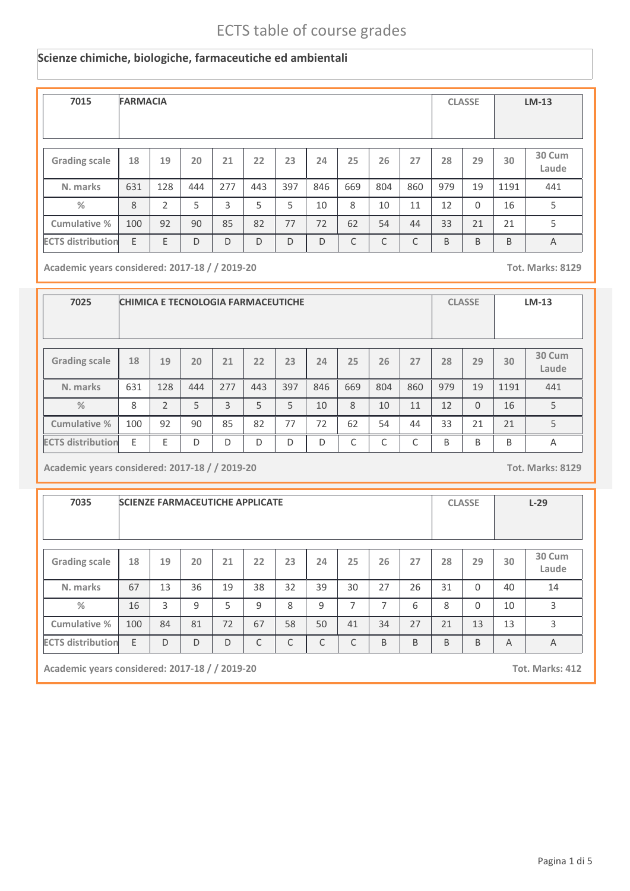#### **Scienze chimiche, biologiche, farmaceutiche ed ambientali**

| 7015                     | <b>FARMACIA</b> |     |     |     |     |     |     |     |     |     |     | <b>CLASSE</b> |      | $LM-13$         |
|--------------------------|-----------------|-----|-----|-----|-----|-----|-----|-----|-----|-----|-----|---------------|------|-----------------|
| <b>Grading scale</b>     | 18              | 19  | 20  | 21  | 22  | 23  | 24  | 25  | 26  | 27  | 28  | 29            | 30   | 30 Cum<br>Laude |
| N. marks                 | 631             | 128 | 444 | 277 | 443 | 397 | 846 | 669 | 804 | 860 | 979 | 19            | 1191 | 441             |
| %                        | 8               | 2   | 5   | 3   | 5   | 5   | 10  | 8   | 10  | 11  | 12  | $\Omega$      | 16   | 5               |
| Cumulative %             | 100             | 92  | 90  | 85  | 82  | 77  | 72  | 62  | 54  | 44  | 33  | 21            | 21   | 5               |
| <b>ECTS distribution</b> | E               | E   | D   | D   | D   | D   | D   | C   | C   | C   | B   | B             | B    | $\overline{A}$  |

**Academic years considered: 2017-18 / / 2019-20 Tot. Marks: 8129**

| 7025                     |     |               |     |     |     | <b>CHIMICA E TECNOLOGIA FARMACEUTICHE</b> |     |     |            |                 |     | <b>CLASSE</b> |      | $LM-13$ |
|--------------------------|-----|---------------|-----|-----|-----|-------------------------------------------|-----|-----|------------|-----------------|-----|---------------|------|---------|
|                          |     |               |     |     |     |                                           |     |     |            |                 |     |               |      |         |
| <b>Grading scale</b>     | 18  | 19            | 20  | 21  | 22  | 27                                        | 28  | 29  | 30         | 30 Cum<br>Laude |     |               |      |         |
| N. marks                 | 631 | 128           | 444 | 277 | 443 | 397                                       | 846 | 669 | 804        | 860             | 979 | 19            | 1191 | 441     |
| $\%$                     | 8   | $\mathcal{P}$ | 5   | 3   | 5   | 5                                         | 10  | 8   | 10         | 11              | 12  | $\Omega$      | 16   | 5       |
| Cumulative %             | 100 | 92            | 90  | 85  | 82  | 77                                        | 72  | 62  | 54         | 44              | 33  | 21            | 21   | 5       |
| <b>ECTS distribution</b> | E   | F             | D   | D   | D   | D                                         | D   | C   | $\sqrt{2}$ | $\mathsf{C}$    | B   | B             | B    | Α       |

**Academic years considered: 2017-18 / / 2019-20 Tot. Marks: 8129**

**7035 SCIENZE FARMACEUTICHE APPLICATE CLASSE L-29 Grading scale 18 N. marks Cumulative % %** 67 **19** 13 **20** 36 **<sup>21</sup> <sup>22</sup> <sup>23</sup> <sup>24</sup> <sup>25</sup> <sup>26</sup> <sup>27</sup> <sup>28</sup> <sup>29</sup> 30 Cum Laude** 19 38 32 39 30 27 26 31 0 40 14 **30** 40 16 3 9 5 9 8 9 7 7 6 8 0 10 3 100 | 84 | 81 | 72 | 67 | 58 | 50 | 41 | 34 | 27 | 21 | 13 | 13 | 3  $\blacksquare$ **ECTS** distribution E D D D D C C C C B B B B A A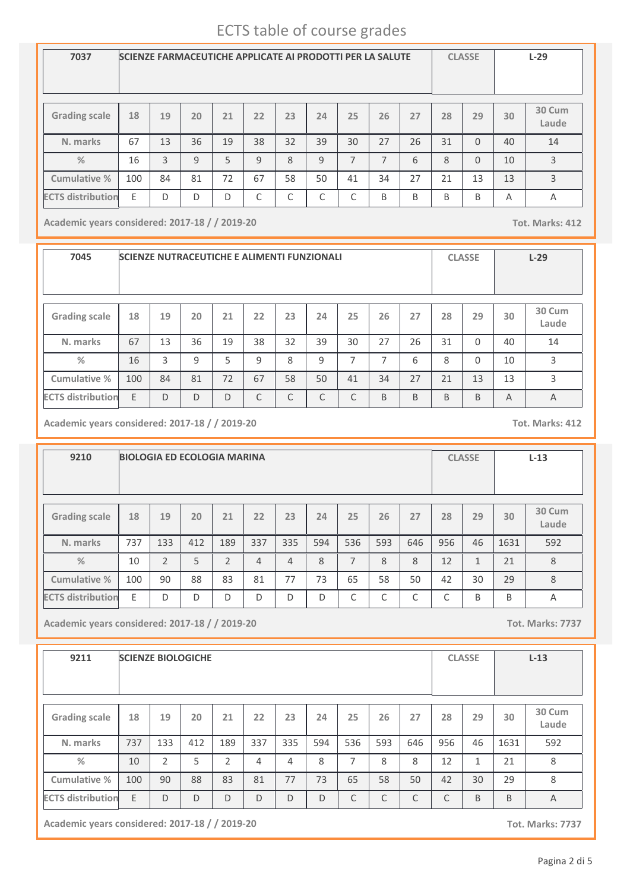| 7037                     | <b>SCIENZE FARMACEUTICHE APPLICATE AI PRODOTTI PER LA SALUTE</b> |    |    |    |    |    |    |    |    |    |    | <b>CLASSE</b> |    | $L-29$          |
|--------------------------|------------------------------------------------------------------|----|----|----|----|----|----|----|----|----|----|---------------|----|-----------------|
| <b>Grading scale</b>     | 18                                                               | 19 | 20 | 21 | 22 | 23 | 24 | 25 | 26 | 27 | 28 | 29            | 30 | 30 Cum<br>Laude |
| N. marks                 | 67                                                               | 13 | 36 | 19 | 38 | 32 | 39 | 30 | 27 | 26 | 31 | $\Omega$      | 40 | 14              |
| $\frac{9}{6}$            | 16                                                               | 3  | 9  | 5  | 9  | 8  | 9  | 7  | 7  | 6  | 8  | $\Omega$      | 10 | 3               |
| Cumulative %             | 100                                                              | 84 | 81 | 72 | 67 | 58 | 50 | 41 | 34 | 27 | 21 | 13            | 13 | 3               |
| <b>ECTS distribution</b> | Ε                                                                | D  | D  | D  | C  | C  | C  | ┌  | B  | B  | B  | B             | Α  | Α               |

**Academic years considered: 2017-18 / / 2019-20 Tot. Marks: 412**

**7045 SCIENZE NUTRACEUTICHE E ALIMENTI FUNZIONALI CLASSE L-29 Grading scale 18 N. marks Cumulative % %** 67 **19** 13 **20** 36 **<sup>21</sup> <sup>22</sup> <sup>23</sup> <sup>24</sup> <sup>25</sup> <sup>26</sup> <sup>27</sup> <sup>28</sup> <sup>29</sup> 30 Cum Laude** 19 38 32 39 30 27 26 31 0 40 14 **30** 40 16 3 9 5 9 8 9 7 7 6 8 0 10 3 100 | 84 | 81 | 72 | 67 | 58 | 50 | 41 | 34 | 27 | 21 | 13 | 13 | 3 **ECTS distribution** E D D D C C C C B B B B A A

**Academic years considered: 2017-18 / / 2019-20 Tot. Marks: 412**

**9210 BIOLOGIA ED ECOLOGIA MARINA CLASSE L-13 Grading scale 18 N. marks Cumulative % %** 737 **19** 133 **20** 412 **<sup>21</sup> <sup>22</sup> <sup>23</sup> <sup>24</sup> <sup>25</sup> <sup>26</sup> <sup>27</sup> <sup>28</sup> <sup>29</sup> 30 Cum Laude** 189 | 337 | 335 | 594 | 536 | 593 | 646 | 956 | 46 | 1631 | 592 **30** 1631 10 | 2 | 5 | 2 | 4 | 4 | 8 | 7 | 8 | 8 | 12 | 1 | 21 | 8 100 | 90 | 88 | 83 | 81 | 77 | 73 | 65 | 58 | 50 | 42 | 30 | 29 | 8 **ECTS distribution** E D D D D D D C C C C B B A

**Academic years considered: 2017-18 / / 2019-20 Tot. Marks: 7737**

| 9211                     |     |                | <b>SCIENZE BIOLOGICHE</b> |                |     |     |     |                |     |     |     | <b>CLASSE</b> |      | $L-13$          |
|--------------------------|-----|----------------|---------------------------|----------------|-----|-----|-----|----------------|-----|-----|-----|---------------|------|-----------------|
| <b>Grading scale</b>     | 18  | 19             | 20                        | 21             | 22  | 23  | 24  | 25             | 26  | 27  | 28  | 29            | 30   | 30 Cum<br>Laude |
| N. marks                 | 737 | 133            | 412                       | 189            | 337 | 335 | 594 | 536            | 593 | 646 | 956 | 46            | 1631 | 592             |
| $\%$                     | 10  | $\overline{2}$ | 5                         | $\overline{2}$ | 4   | 4   | 8   | $\overline{ }$ | 8   | 8   | 12  | 1             | 21   | 8               |
| Cumulative %             | 100 | 90             | 88                        | 83             | 81  | 77  | 73  | 65             | 58  | 50  | 42  | 30            | 29   | 8               |
| <b>ECTS distribution</b> | E   | D              | D                         | D              | D   | D   | D   | C              | C   | C   | C   | B             | B    | $\overline{A}$  |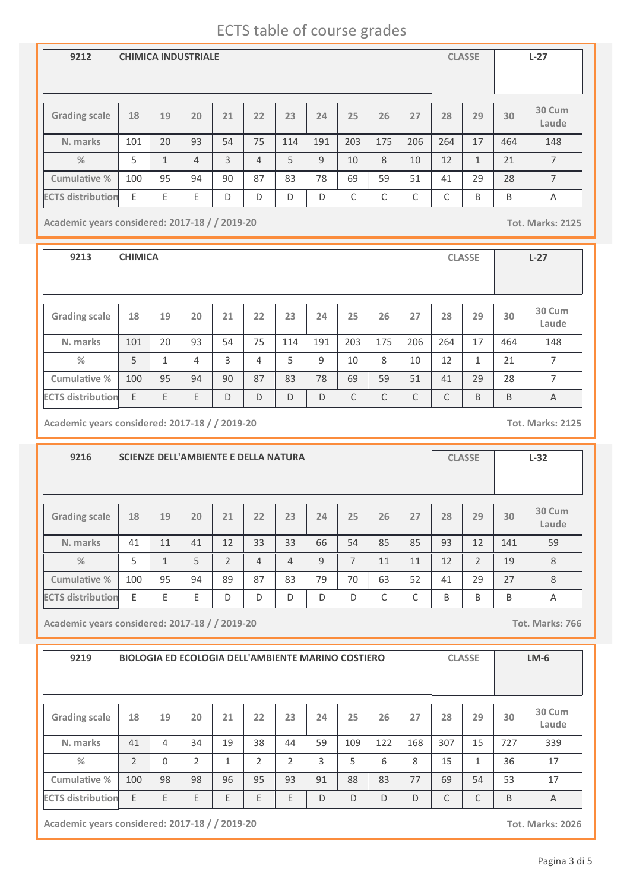| 9212                     | <b>CHIMICA INDUSTRIALE</b> |                         |                |    |                |     |     |     |     |     |                 | <b>CLASSE</b> |     | $L-27$          |
|--------------------------|----------------------------|-------------------------|----------------|----|----------------|-----|-----|-----|-----|-----|-----------------|---------------|-----|-----------------|
| <b>Grading scale</b>     | 18                         | 19                      | 20             | 21 | 22             | 23  | 24  | 25  | 26  | 27  | 28              | 29            | 30  | 30 Cum<br>Laude |
| N. marks                 | 101                        | 20                      | 93             | 54 | 75             | 114 | 191 | 203 | 175 | 206 | 264             | 17            | 464 | 148             |
| $\frac{9}{6}$            | 5                          | $\mathbf{\overline{1}}$ | $\overline{4}$ | 3  | $\overline{4}$ | 5   | 9   | 10  | 8   | 10  | 12              | $\mathbf{1}$  | 21  | $\overline{7}$  |
| <b>Cumulative %</b>      | 100                        | 95                      | 94             | 90 | 87             | 83  | 78  | 69  | 59  | 51  | 41              | 29            | 28  | $\overline{7}$  |
| <b>ECTS distribution</b> | E                          | E                       | E              | D  | D              | D   | D   | C   | C   | C   | $\sqrt{2}$<br>J | B             | B   | A               |

**Academic years considered: 2017-18 / / 2019-20 Tot. Marks: 2125**

**9213 CHIMICA CLASSE L-27 Grading scale 18 N. marks Cumulative % %** 101 **19** 20 **20** 93 **<sup>21</sup> <sup>22</sup> <sup>23</sup> <sup>24</sup> <sup>25</sup> <sup>26</sup> <sup>27</sup> <sup>28</sup> <sup>29</sup> 30 Cum Laude** 54 | 75 | 114 | 191 | 203 | 175 | 206 | 264 | 17 | 464 | 148 **30** 464 5 | 1 | 4 | 3 | 4 | 5 | 9 | 10 | 8 | 10 | 12 | 1 | 21 | 7 100 95 94 90 87 83 78 69 59 51 41 29 28 7 **ECTS** distribution E E E E D D D D D C C C C B B A

**Academic years considered: 2017-18 / / 2019-20 Tot. Marks: 2125**

| 9216                     |     |    | <b>SCIENZE DELL'AMBIENTE E DELLA NATURA</b> |                |    |                |    |                |    |    |    | <b>CLASSE</b>  |     | $L-32$          |
|--------------------------|-----|----|---------------------------------------------|----------------|----|----------------|----|----------------|----|----|----|----------------|-----|-----------------|
| <b>Grading scale</b>     | 18  | 19 | 20                                          | 21             | 22 | 23             | 24 | 25             | 26 | 27 | 28 | 29             | 30  | 30 Cum<br>Laude |
| N. marks                 | 41  | 11 | 41                                          | 12             | 33 | 33             | 66 | 54             | 85 | 85 | 93 | 12             | 141 | 59              |
| $\frac{9}{6}$            | 5   | 1  | 5                                           | $\mathfrak{D}$ | 4  | $\overline{4}$ | 9  | $\overline{7}$ | 11 | 11 | 12 | $\mathfrak{D}$ | 19  | 8               |
| Cumulative %             | 100 | 95 | 94                                          | 89             | 87 | 83             | 79 | 70             | 63 | 52 | 41 | 29             | 27  | 8               |
| <b>ECTS distribution</b> | E   | F  | F                                           | D              | D  | D              | D  | $\Box$         | ◠  | ⌒  | B  | B              | B   | A               |

**Academic years considered: 2017-18 / / 2019-20 Tot. Marks: 766**

| 9219                     |                |          |                |    |    | <b>BIOLOGIA ED ECOLOGIA DELL'AMBIENTE MARINO COSTIERO</b> |    |     |     |                 |     | <b>CLASSE</b> |     | $LM-6$         |
|--------------------------|----------------|----------|----------------|----|----|-----------------------------------------------------------|----|-----|-----|-----------------|-----|---------------|-----|----------------|
| <b>Grading scale</b>     | 18             | 19       | 20             | 21 | 22 | 27                                                        | 28 | 29  | 30  | 30 Cum<br>Laude |     |               |     |                |
| N. marks                 | 41             | 4        | 34             | 19 | 38 | 44                                                        | 59 | 109 | 122 | 168             | 307 | 15            | 727 | 339            |
| $\%$                     | $\mathfrak{D}$ | $\Omega$ | $\overline{2}$ | 1  | 2  | 2                                                         | 3  | 5   | 6   | 8               | 15  | 1             | 36  | 17             |
| Cumulative %             | 100            | 98       | 98             | 96 | 95 | 93                                                        | 91 | 88  | 83  | 77              | 69  | 54            | 53  | 17             |
| <b>ECTS distribution</b> | E              | E        | E              | E  | E  | E                                                         | D  | D   | D   | D               | C   | C             | B   | $\overline{A}$ |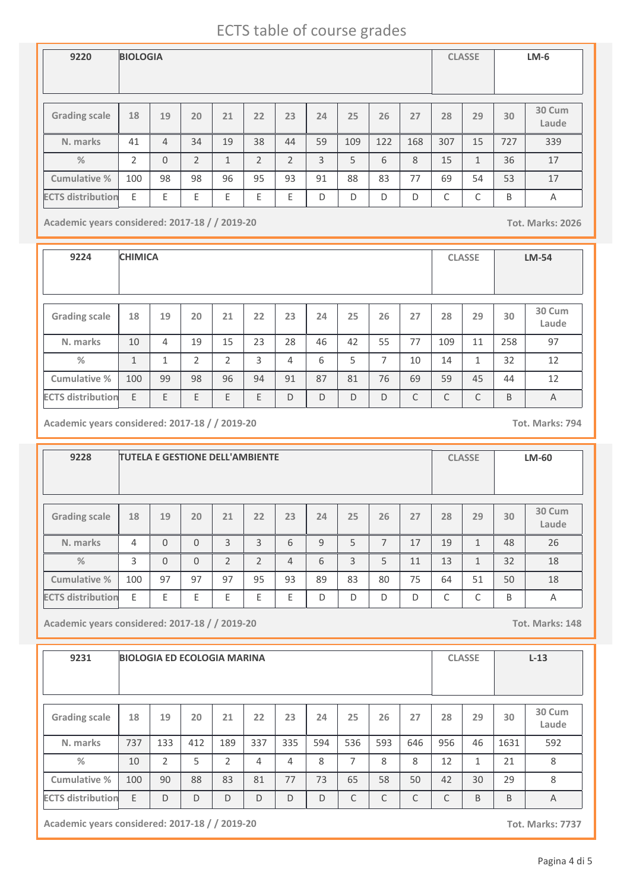| 9220                     | <b>BIOLOGIA</b> |                |                |    |    |                |    |     |     |     |     | <b>CLASSE</b>   |     | $LM-6$          |
|--------------------------|-----------------|----------------|----------------|----|----|----------------|----|-----|-----|-----|-----|-----------------|-----|-----------------|
|                          |                 |                |                |    |    |                |    |     |     |     |     |                 |     |                 |
| <b>Grading scale</b>     | 18              | 19             | 20             | 21 | 22 | 23             | 24 | 25  | 26  | 27  | 28  | 29              | 30  | 30 Cum<br>Laude |
| N. marks                 | 41              | $\overline{4}$ | 34             | 19 | 38 | 44             | 59 | 109 | 122 | 168 | 307 | 15              | 727 | 339             |
| $\frac{0}{2}$            | $\mathcal{P}$   | $\overline{0}$ | $\overline{2}$ | 1  | 2  | $\mathfrak{D}$ | 3  | 5   | 6   | 8   | 15  | $\mathbf{1}$    | 36  | 17              |
| <b>Cumulative %</b>      | 100             | 98             | 98             | 96 | 95 | 93             | 91 | 88  | 83  | 77  | 69  | 54              | 53  | 17              |
| <b>ECTS distribution</b> | E               | E              | E              | E  | Ε  | Ε              | D  | D   | D   | D   | C   | $\sqrt{2}$<br>Ć | B   | A               |

**Academic years considered: 2017-18 / / 2019-20 Tot. Marks: 2026**

**9224 CHIMICA CLASSE LM-54 Grading scale 18 N. marks Cumulative % %** 10 **19** 4 **20** 19 **<sup>21</sup> <sup>22</sup> <sup>23</sup> <sup>24</sup> <sup>25</sup> <sup>26</sup> <sup>27</sup> <sup>28</sup> <sup>29</sup> 30 Cum Laude** 15 | 23 | 28 | 46 | 42 | 55 | 77 | 109 | 11 | 258 | 97 **30** 258 1 | 1 | 2 | 2 | 3 | 4 | 6 | 5 | 7 | 10 | 14 | 1 | 32 | 12 100 99 98 96 94 91 87 81 76 69 59 45 44 12 **ECTS distribution** E E E E E D D D D C C C B A

**Academic years considered: 2017-18 / / 2019-20 Tot. Marks: 794**

| 9228                     |     |          | <b>TUTELA E GESTIONE DELL'AMBIENTE</b> |                |                |    |    |    |    |    |    | <b>CLASSE</b> |    | LM-60           |
|--------------------------|-----|----------|----------------------------------------|----------------|----------------|----|----|----|----|----|----|---------------|----|-----------------|
| <b>Grading scale</b>     | 18  | 19       | 20                                     | 21             | 22             | 23 | 24 | 25 | 26 | 27 | 28 | 29            | 30 | 30 Cum<br>Laude |
| N. marks                 | 4   | $\Omega$ | $\Omega$                               | 3              | 3              | 6  | 9  | 5  | 7  | 17 | 19 | $\mathbf{1}$  | 48 | 26              |
| $\frac{9}{6}$            | 3   | $\Omega$ | $\Omega$                               | $\overline{2}$ | $\mathfrak{D}$ | 4  | 6  | 3  | 5  | 11 | 13 | $\mathbf{1}$  | 32 | 18              |
| Cumulative %             | 100 | 97       | 97                                     | 97             | 95             | 93 | 89 | 83 | 80 | 75 | 64 | 51            | 50 | 18              |
| <b>ECTS distribution</b> | E   | F        | F                                      | E              | F              | F  | D  | D  | D  | D  | C  | $\sqrt{2}$    | B  | Α               |

**Academic years considered: 2017-18 / / 2019-20 Tot. Marks: 148**

| 9231                     |     |                | <b>BIOLOGIA ED ECOLOGIA MARINA</b> |     |     |     |     |     |     |     |     | <b>CLASSE</b> |      | $L-13$          |
|--------------------------|-----|----------------|------------------------------------|-----|-----|-----|-----|-----|-----|-----|-----|---------------|------|-----------------|
| <b>Grading scale</b>     | 18  | 19             | 20                                 | 21  | 22  | 23  | 24  | 25  | 26  | 27  | 28  | 29            | 30   | 30 Cum<br>Laude |
| N. marks                 | 737 | 133            | 412                                | 189 | 337 | 335 | 594 | 536 | 593 | 646 | 956 | 46            | 1631 | 592             |
| $\%$                     | 10  | $\overline{2}$ | 5                                  | 2   | 4   | 4   | 8   | 7   | 8   | 8   | 12  | $\mathbf{1}$  | 21   | 8               |
| Cumulative %             | 100 | 90             | 88                                 | 83  | 81  | 77  | 73  | 65  | 58  | 50  | 42  | 30            | 29   | 8               |
| <b>ECTS distribution</b> | E   | D              | D                                  | D   | D   | D   | D   | C   | C   | C   | C   | B             | B    | $\overline{A}$  |